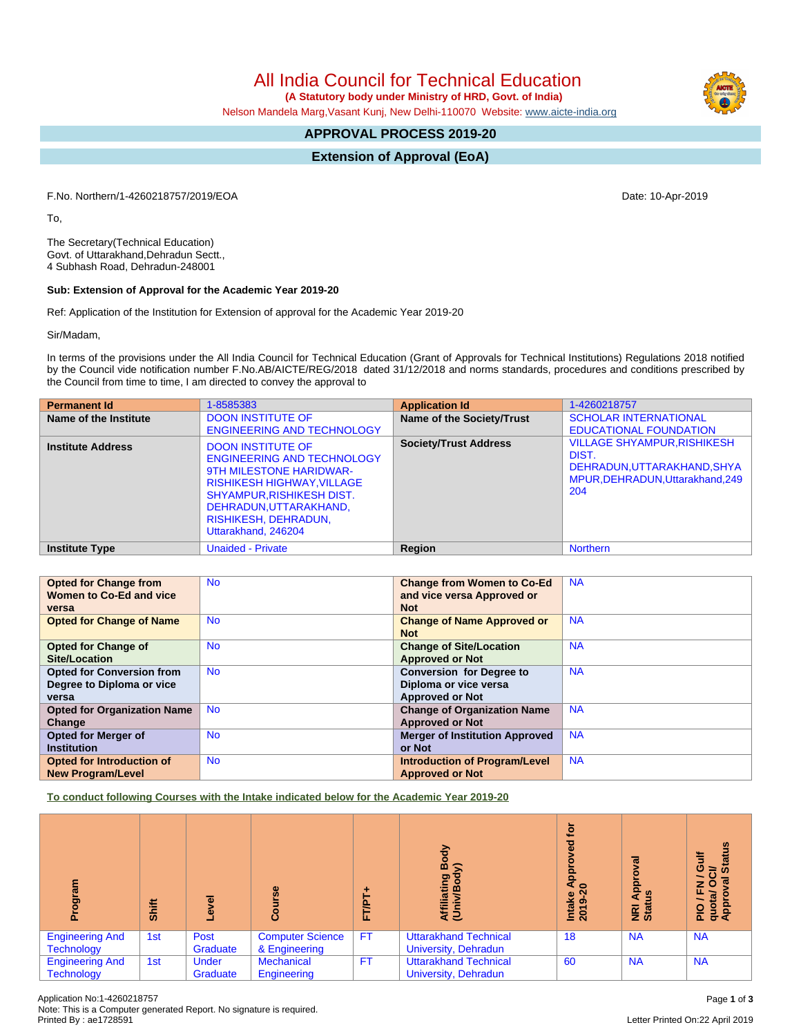All India Council for Technical Education

 **(A Statutory body under Ministry of HRD, Govt. of India)**

Nelson Mandela Marg,Vasant Kunj, New Delhi-110070 Website: [www.aicte-india.org](http://www.aicte-india.org)

# **APPROVAL PROCESS 2019-20**

**Extension of Approval (EoA)**

F.No. Northern/1-4260218757/2019/EOA Date: 10-Apr-2019

To,

The Secretary(Technical Education) Govt. of Uttarakhand,Dehradun Sectt., 4 Subhash Road, Dehradun-248001

#### **Sub: Extension of Approval for the Academic Year 2019-20**

Ref: Application of the Institution for Extension of approval for the Academic Year 2019-20

Sir/Madam,

In terms of the provisions under the All India Council for Technical Education (Grant of Approvals for Technical Institutions) Regulations 2018 notified by the Council vide notification number F.No.AB/AICTE/REG/2018 dated 31/12/2018 and norms standards, procedures and conditions prescribed by the Council from time to time, I am directed to convey the approval to

| <b>Permanent Id</b>      | 1-8585383                                                                                                                                                                                                                                         | <b>Application Id</b>        | 1-4260218757                                                                                                       |
|--------------------------|---------------------------------------------------------------------------------------------------------------------------------------------------------------------------------------------------------------------------------------------------|------------------------------|--------------------------------------------------------------------------------------------------------------------|
| Name of the Institute    | <b>DOON INSTITUTE OF</b><br><b>ENGINEERING AND TECHNOLOGY</b>                                                                                                                                                                                     | Name of the Society/Trust    | <b>SCHOLAR INTERNATIONAL</b><br><b>EDUCATIONAL FOUNDATION</b>                                                      |
| <b>Institute Address</b> | <b>DOON INSTITUTE OF</b><br><b>ENGINEERING AND TECHNOLOGY</b><br><b>9TH MILESTONE HARIDWAR-</b><br><b>RISHIKESH HIGHWAY, VILLAGE</b><br><b>SHYAMPUR, RISHIKESH DIST.</b><br>DEHRADUN, UTTARAKHAND,<br>RISHIKESH, DEHRADUN,<br>Uttarakhand, 246204 | <b>Society/Trust Address</b> | <b>VILLAGE SHYAMPUR, RISHIKESH</b><br>DIST.<br>DEHRADUN, UTTARAKHAND, SHYA<br>MPUR.DEHRADUN.Uttarakhand.249<br>204 |
| <b>Institute Type</b>    | <b>Unaided - Private</b>                                                                                                                                                                                                                          | Region                       | <b>Northern</b>                                                                                                    |

|                                    |           |                                       | <b>NA</b> |
|------------------------------------|-----------|---------------------------------------|-----------|
| <b>Opted for Change from</b>       | <b>No</b> | <b>Change from Women to Co-Ed</b>     |           |
| Women to Co-Ed and vice            |           | and vice versa Approved or            |           |
| versa                              |           | <b>Not</b>                            |           |
| <b>Opted for Change of Name</b>    | <b>No</b> | <b>Change of Name Approved or</b>     | <b>NA</b> |
|                                    |           | <b>Not</b>                            |           |
| <b>Opted for Change of</b>         | <b>No</b> | <b>Change of Site/Location</b>        | <b>NA</b> |
| <b>Site/Location</b>               |           | <b>Approved or Not</b>                |           |
| <b>Opted for Conversion from</b>   | <b>No</b> | <b>Conversion for Degree to</b>       | <b>NA</b> |
| Degree to Diploma or vice          |           | Diploma or vice versa                 |           |
| versa                              |           | <b>Approved or Not</b>                |           |
| <b>Opted for Organization Name</b> | <b>No</b> | <b>Change of Organization Name</b>    | <b>NA</b> |
| Change                             |           | <b>Approved or Not</b>                |           |
| <b>Opted for Merger of</b>         | <b>No</b> | <b>Merger of Institution Approved</b> | <b>NA</b> |
| <b>Institution</b>                 |           | or Not                                |           |
| <b>Opted for Introduction of</b>   | <b>No</b> | <b>Introduction of Program/Level</b>  | <b>NA</b> |
| <b>New Program/Level</b>           |           | <b>Approved or Not</b>                |           |

**To conduct following Courses with the Intake indicated below for the Academic Year 2019-20**

| តូ<br>o                                     | Shift | $\overline{\bullet}$<br>ڡ | rse<br>Ξ<br>ပ္ပြ                         | FT/PT     | 증<br>ရွိ<br>liating<br>ξΞ                            | <u>iot</u><br>공<br>App<br>$\circ$<br>Intake<br>2019-20 | ड़<br>o.<br><b>Appl</b><br>ី<br><b>NE</b><br>Stat | <b>Status</b><br>₹<br>O<br>$\overline{5}$<br>PIO / FN<br>quota/ Or<br>Approval |
|---------------------------------------------|-------|---------------------------|------------------------------------------|-----------|------------------------------------------------------|--------------------------------------------------------|---------------------------------------------------|--------------------------------------------------------------------------------|
| <b>Engineering And</b><br><b>Technology</b> | 1st   | Post<br>Graduate          | <b>Computer Science</b><br>& Engineering | <b>FT</b> | <b>Uttarakhand Technical</b><br>University, Dehradun | 18                                                     | <b>NA</b>                                         | <b>NA</b>                                                                      |
| <b>Engineering And</b><br><b>Technology</b> | 1st   | <b>Under</b><br>Graduate  | <b>Mechanical</b><br>Engineering         | <b>FT</b> | <b>Uttarakhand Technical</b><br>University, Dehradun | 60                                                     | <b>NA</b>                                         | <b>NA</b>                                                                      |

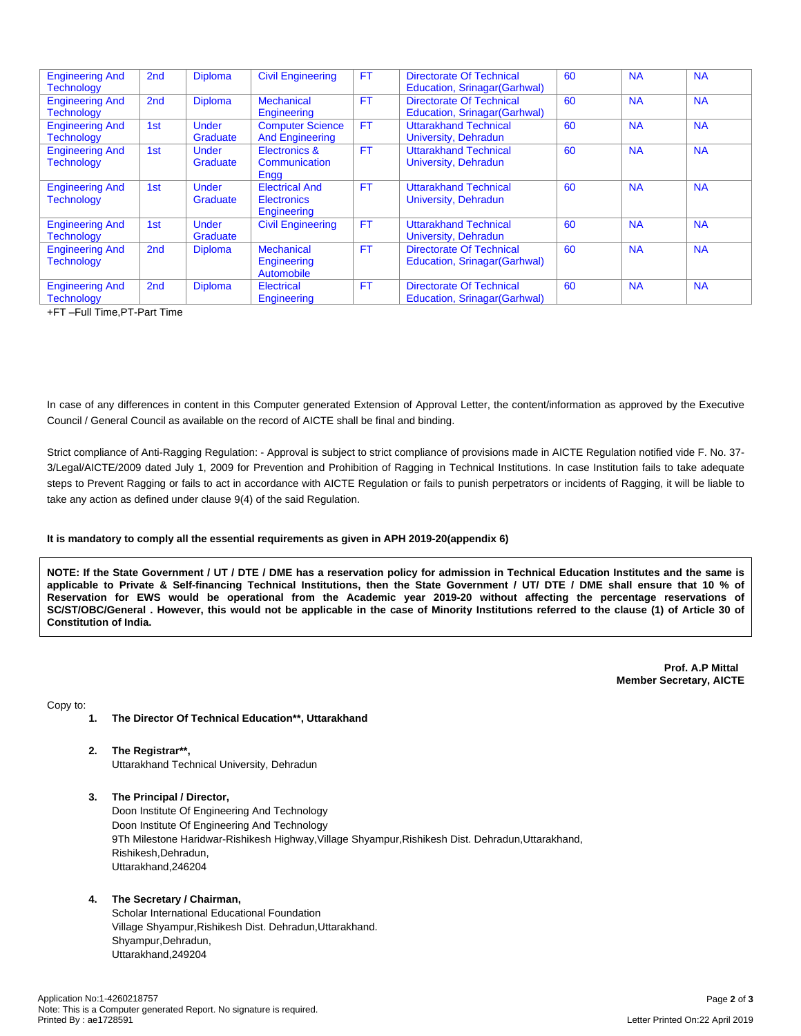| <b>Engineering And</b><br><b>Technology</b> | 2 <sub>nd</sub> | <b>Diploma</b>           | <b>Civil Engineering</b>                                   | <b>FT</b> | <b>Directorate Of Technical</b><br>Education, Srinagar (Garhwal) | 60 | <b>NA</b> | <b>NA</b> |
|---------------------------------------------|-----------------|--------------------------|------------------------------------------------------------|-----------|------------------------------------------------------------------|----|-----------|-----------|
| <b>Engineering And</b><br><b>Technology</b> | 2 <sub>nd</sub> | <b>Diploma</b>           | <b>Mechanical</b><br>Engineering                           | <b>FT</b> | <b>Directorate Of Technical</b><br>Education, Srinagar (Garhwal) | 60 | <b>NA</b> | <b>NA</b> |
| <b>Engineering And</b><br><b>Technology</b> | 1st             | <b>Under</b><br>Graduate | <b>Computer Science</b><br><b>And Engineering</b>          | <b>FT</b> | <b>Uttarakhand Technical</b><br>University, Dehradun             | 60 | <b>NA</b> | <b>NA</b> |
| <b>Engineering And</b><br><b>Technology</b> | 1st             | <b>Under</b><br>Graduate | Electronics &<br>Communication<br>Engg                     | <b>FT</b> | <b>Uttarakhand Technical</b><br>University, Dehradun             | 60 | <b>NA</b> | <b>NA</b> |
| <b>Engineering And</b><br><b>Technology</b> | 1st             | <b>Under</b><br>Graduate | <b>Electrical And</b><br><b>Electronics</b><br>Engineering | <b>FT</b> | <b>Uttarakhand Technical</b><br>University, Dehradun             | 60 | <b>NA</b> | <b>NA</b> |
| <b>Engineering And</b><br><b>Technology</b> | 1st             | <b>Under</b><br>Graduate | <b>Civil Engineering</b>                                   | <b>FT</b> | <b>Uttarakhand Technical</b><br>University, Dehradun             | 60 | <b>NA</b> | <b>NA</b> |
| <b>Engineering And</b><br><b>Technology</b> | 2 <sub>nd</sub> | <b>Diploma</b>           | <b>Mechanical</b><br>Engineering<br>Automobile             | <b>FT</b> | <b>Directorate Of Technical</b><br>Education, Srinagar (Garhwal) | 60 | <b>NA</b> | <b>NA</b> |
| <b>Engineering And</b><br><b>Technology</b> | 2 <sub>nd</sub> | <b>Diploma</b>           | <b>Electrical</b><br>Engineering                           | <b>FT</b> | <b>Directorate Of Technical</b><br>Education, Srinagar(Garhwal)  | 60 | <b>NA</b> | <b>NA</b> |

+FT –Full Time,PT-Part Time

In case of any differences in content in this Computer generated Extension of Approval Letter, the content/information as approved by the Executive Council / General Council as available on the record of AICTE shall be final and binding.

Strict compliance of Anti-Ragging Regulation: - Approval is subject to strict compliance of provisions made in AICTE Regulation notified vide F. No. 37- 3/Legal/AICTE/2009 dated July 1, 2009 for Prevention and Prohibition of Ragging in Technical Institutions. In case Institution fails to take adequate steps to Prevent Ragging or fails to act in accordance with AICTE Regulation or fails to punish perpetrators or incidents of Ragging, it will be liable to take any action as defined under clause 9(4) of the said Regulation.

#### **It is mandatory to comply all the essential requirements as given in APH 2019-20(appendix 6)**

NOTE: If the State Government / UT / DTE / DME has a reservation policy for admission in Technical Education Institutes and the same is applicable to Private & Self-financing Technical Institutions, then the State Government / UT/ DTE / DME shall ensure that 10 % of Reservation for EWS would be operational from the Academic year 2019-20 without affecting the percentage reservations of SC/ST/OBC/General . However, this would not be applicable in the case of Minority Institutions referred to the clause (1) of Article 30 of **Constitution of India.**

> **Prof. A.P Mittal Member Secretary, AICTE**

Copy to:

- **1. The Director Of Technical Education\*\*, Uttarakhand**
- **2. The Registrar\*\*,** Uttarakhand Technical University, Dehradun
- **3. The Principal / Director,**

Doon Institute Of Engineering And Technology Doon Institute Of Engineering And Technology 9Th Milestone Haridwar-Rishikesh Highway,Village Shyampur,Rishikesh Dist. Dehradun,Uttarakhand, Rishikesh,Dehradun, Uttarakhand,246204

## **4. The Secretary / Chairman,**

Scholar International Educational Foundation Village Shyampur,Rishikesh Dist. Dehradun,Uttarakhand. Shyampur,Dehradun, Uttarakhand,249204